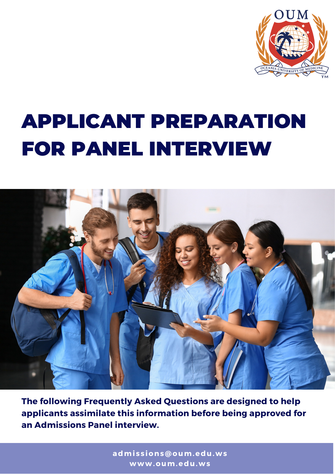

# APPLICANT PREPARATION FOR PANEL INTERVIEW



**The following Frequently Asked Questions are designed to help applicants assimilate this information before being approved for an Admissions Panel interview.**

> **admi s s ions@oum.edu.ws www.oum.edu.ws**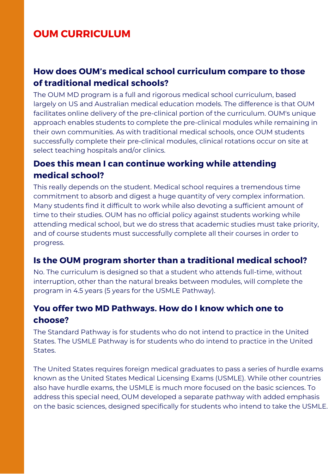## **OUM CURRICULUM**

#### **How does OUM's medical school curriculum compare to those of traditional medical schools?**

The OUM MD program is a full and rigorous medical school curriculum, based largely on US and Australian medical education models. The difference is that OUM facilitates online delivery of the pre-clinical portion of the curriculum. OUM's unique approach enables students to complete the pre-clinical modules while remaining in their own communities. As with traditional medical schools, once OUM students successfully complete their pre-clinical modules, clinical rotations occur on site at select teaching hospitals and/or clinics.

#### **Does this mean I can continue working while attending medical school?**

This really depends on the student. Medical school requires a tremendous time commitment to absorb and digest a huge quantity of very complex information. Many students find it difficult to work while also devoting a sufficient amount of time to their studies. OUM has no official policy against students working while attending medical school, but we do stress that academic studies must take priority, and of course students must successfully complete all their courses in order to progress.

#### **Is the OUM program shorter than a traditional medical school?**

No. The curriculum is designed so that a student who attends full-time, without interruption, other than the natural breaks between modules, will complete the program in 4.5 years (5 years for the USMLE Pathway).

#### **You offer two MD Pathways. How do I know which one to choose?**

The Standard Pathway is for students who do not intend to practice in the United States. The USMLE Pathway is for students who do intend to practice in the United States.

The United States requires foreign medical graduates to pass a series of hurdle exams known as the United States Medical Licensing Exams (USMLE). While other countries also have hurdle exams, the USMLE is much more focused on the basic sciences. To address this special need, OUM developed a separate pathway with added emphasis on the basic sciences, designed specifically for students who intend to take the USMLE.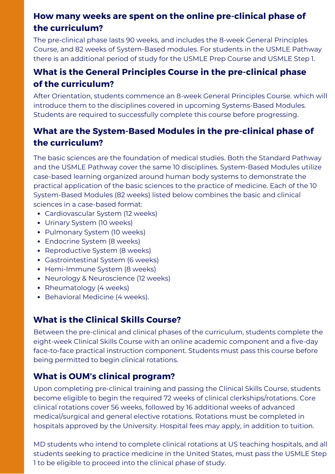## **How many weeks are spent on the online pre-clinical phase of the curriculum?**

The pre-clinical phase lasts 90 weeks, and includes the 8-week General Principles Course, and 82 weeks of [System-Based](https://yourtime.oum.edu.ws/acton/ct/31526/%7b%7bEnv.MsgId%7d%7d/Bct/%7b%7bEnv.SrcId%7d%7d/%7b%7bEnv.RecId%7d%7d/ct1_0/1/lu?sid=%7b%7bEnv.Code%7d%7d) modules. For students in the USMLE Pathway there is an additional period of study for the USMLE Prep Course and USMLE Step 1.

#### **What is the General Principles Course in the pre-clinical phase of the [curriculum?](https://yourtime.oum.edu.ws/acton/ct/31526/%7b%7bEnv.MsgId%7d%7d/Bct/%7b%7bEnv.SrcId%7d%7d/%7b%7bEnv.RecId%7d%7d/ct1_0/1/lu?sid=%7b%7bEnv.Code%7d%7d)**

After [Orientation,](https://yourtime.oum.edu.ws/acton/ct/31526/%7b%7bEnv.MsgId%7d%7d/Bct/%7b%7bEnv.SrcId%7d%7d/%7b%7bEnv.RecId%7d%7d/ct1_0/1/lu?sid=%7b%7bEnv.Code%7d%7d) students commence an 8-week General Principles Course. which will introduce them to the disciplines covered in upcoming Systems-Based Modules. Students are required to successfully complete this course before [progressing.](https://yourtime.oum.edu.ws/acton/ct/31526/%7b%7bEnv.MsgId%7d%7d/Bct/%7b%7bEnv.SrcId%7d%7d/%7b%7bEnv.RecId%7d%7d/ct1_0/1/lu?sid=%7b%7bEnv.Code%7d%7d)

### **What are the [System-Based](https://yourtime.oum.edu.ws/acton/ct/31526/%7b%7bEnv.MsgId%7d%7d/Bct/%7b%7bEnv.SrcId%7d%7d/%7b%7bEnv.RecId%7d%7d/ct1_0/1/lu?sid=%7b%7bEnv.Code%7d%7d) Modules in the pre-clinical phase of the curriculum?**

The basic sciences are the foundation of medical studies. Both the Standard Pathway and the USMLE Pathway cover the same 10 disciplines. [System-Based](https://yourtime.oum.edu.ws/acton/ct/31526/%7b%7bEnv.MsgId%7d%7d/Bct/%7b%7bEnv.SrcId%7d%7d/%7b%7bEnv.RecId%7d%7d/ct1_0/1/lu?sid=%7b%7bEnv.Code%7d%7d) Modules utilize case-based learning organized around human body systems to demonstrate the practical application of the basic sciences to the practice of medicine. Each of the 10 [System-Based](https://yourtime.oum.edu.ws/acton/ct/31526/%7b%7bEnv.MsgId%7d%7d/Bct/%7b%7bEnv.SrcId%7d%7d/%7b%7bEnv.RecId%7d%7d/ct1_0/1/lu?sid=%7b%7bEnv.Code%7d%7d) Modules (82 weeks) listed below combines the basic and clinical sciences in a case-based format:

- Cardiovascular System (12 weeks)
- Urinary System (10 weeks)
- Pulmonary System (10 weeks)
- Endocrine System (8 weeks)
- Reproductive System (8 weeks)
- Gastrointestinal System (6 weeks)
- Hemi-Immune System (8 weeks)
- Neurology & Neuroscience (12 weeks)
- Rheumatology (4 weeks)
- Behavioral Medicine (4 weeks).

#### **What is the Clinical Skills Course?**

Between the pre-clinical and clinical phases of the curriculum, students complete the eight-week Clinical Skills Course with an online academic component and a five-day face-to-face practical [instruction component.](https://yourtime.oum.edu.ws/acton/ct/31526/%7b%7bEnv.MsgId%7d%7d/Bct/%7b%7bEnv.SrcId%7d%7d/%7b%7bEnv.RecId%7d%7d/ct1_0/1/lu?sid=%7b%7bEnv.Code%7d%7d) Students must pass this course before being permitted to begin clinical rotations.

#### **What is OUM's clinical program?**

Upon completing pre-clinical training and passing the Clinical Skills Course, students become eligible to begin the required 72 weeks of clinical [clerkships/rotations.](https://yourtime.oum.edu.ws/acton/ct/31526/%7b%7bEnv.MsgId%7d%7d/Bct/%7b%7bEnv.SrcId%7d%7d/%7b%7bEnv.RecId%7d%7d/ct1_0/1/lu?sid=%7b%7bEnv.Code%7d%7d) Core clinical rotations cover 56 weeks, followed by 16 additional weeks of advanced medical/surgical and general elective rotations. Rotations must be completed in hospitals approved by the University. Hospital fees may apply, in addition to tuition.

MD students who intend to [complete](https://yourtime.oum.edu.ws/acton/ct/31526/%7b%7bEnv.MsgId%7d%7d/Bct/%7b%7bEnv.SrcId%7d%7d/%7b%7bEnv.RecId%7d%7d/ct1_0/1/lu?sid=%7b%7bEnv.Code%7d%7d) clinical rotations at US teaching hospitals, and all students seeking to practice medicine in the United States, must pass the USMLE Step 1 to be eligible to proceed into the clinical phase of study.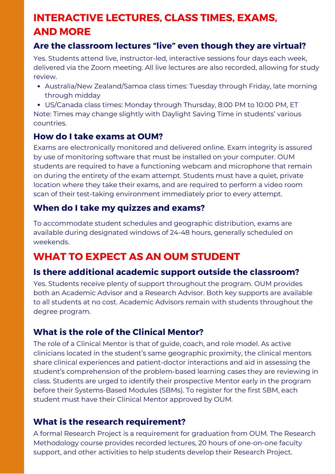# **INTERACTIVE LECTURES, CLASS TIMES, EXAMS, AND MORE**

#### **Are the classroom lectures "live" even though they are virtual?**

Yes. Students attend live, [instructor-led,](https://yourtime.oum.edu.ws/acton/ct/31526/%7b%7bEnv.MsgId%7d%7d/Bct/%7b%7bEnv.SrcId%7d%7d/%7b%7bEnv.RecId%7d%7d/ct1_0/1/lu?sid=%7b%7bEnv.Code%7d%7d) interactive sessions four days each week, delivered via the Zoom meeting. All live lectures are also recorded, allowing for study review[.](https://yourtime.oum.edu.ws/acton/ct/31526/%7b%7bEnv.MsgId%7d%7d/Bct/%7b%7bEnv.SrcId%7d%7d/%7b%7bEnv.RecId%7d%7d/ct1_0/1/lu?sid=%7b%7bEnv.Code%7d%7d)

Australia/New [Zealand/Samoa](https://yourtime.oum.edu.ws/acton/ct/31526/%7b%7bEnv.MsgId%7d%7d/Bct/%7b%7bEnv.SrcId%7d%7d/%7b%7bEnv.RecId%7d%7d/ct1_0/1/lu?sid=%7b%7bEnv.Code%7d%7d) class times: Tuesday through Friday, late morning through midday

US/Canada class times: Monday through [Thursday,](https://yourtime.oum.edu.ws/acton/ct/31526/%7b%7bEnv.MsgId%7d%7d/Bct/%7b%7bEnv.SrcId%7d%7d/%7b%7bEnv.RecId%7d%7d/ct1_0/1/lu?sid=%7b%7bEnv.Code%7d%7d) 8:00 PM to 10:00 PM, ET Note: Times may change slightly with Daylight Saving Time in students' various [countries.](https://yourtime.oum.edu.ws/acton/ct/31526/%7b%7bEnv.MsgId%7d%7d/Bct/%7b%7bEnv.SrcId%7d%7d/%7b%7bEnv.RecId%7d%7d/ct1_0/1/lu?sid=%7b%7bEnv.Code%7d%7d)

#### **How do I take exams at OUM?**

Exams are [electronically](https://yourtime.oum.edu.ws/acton/ct/31526/%7b%7bEnv.MsgId%7d%7d/Bct/%7b%7bEnv.SrcId%7d%7d/%7b%7bEnv.RecId%7d%7d/ct1_0/1/lu?sid=%7b%7bEnv.Code%7d%7d) monitored and delivered online. Exam integrity is assured by use of monitoring software that must be installed on your computer. OUM students are required to have a functioning webcam and microphone that remain on during the entirety of the exam attempt. Students must have a quiet, private location where they take their exams, and are required to perform a video room scan of their test-taking environment immediately prior to every attempt.

#### **When do I take my quizzes and exams?**

To [accommodate](https://yourtime.oum.edu.ws/acton/ct/31526/%7b%7bEnv.MsgId%7d%7d/Bct/%7b%7bEnv.SrcId%7d%7d/%7b%7bEnv.RecId%7d%7d/ct1_0/1/lu?sid=%7b%7bEnv.Code%7d%7d) student schedules and geographic distribution, exams are available during designated windows of 24-48 hours, generally scheduled on weekends.

# **WHAT TO EXPECT AS AN OUM STUDENT**

#### **Is there additional academic support outside the classroom?**

Yes. Students receive plenty of support [throughout](https://yourtime.oum.edu.ws/acton/ct/31526/%7b%7bEnv.MsgId%7d%7d/Bct/%7b%7bEnv.SrcId%7d%7d/%7b%7bEnv.RecId%7d%7d/ct1_0/1/lu?sid=%7b%7bEnv.Code%7d%7d) the program. OUM provides both an Academic Advisor and a Research Advisor. Both key supports are available to all students at no cost. Academic Advisors remain with students throughout the degree program[.](https://yourtime.oum.edu.ws/acton/ct/31526/%7b%7bEnv.MsgId%7d%7d/Bct/%7b%7bEnv.SrcId%7d%7d/%7b%7bEnv.RecId%7d%7d/ct1_0/1/lu?sid=%7b%7bEnv.Code%7d%7d)

#### **What is the role of the Clinical Mentor?**

The role of a Clinical Mentor is that of guide, coach, and role model. As active clinicians located in the student's same geographic proximity, the clinical mentors share clinical experiences and patient-doctor interactions and aid in assessing the student's [comprehension](https://yourtime.oum.edu.ws/acton/ct/31526/%7b%7bEnv.MsgId%7d%7d/Bct/%7b%7bEnv.SrcId%7d%7d/%7b%7bEnv.RecId%7d%7d/ct3_0/1/lu?sid=%7b%7bEnv.Code%7d%7d) of the problem-based learning cases they are reviewing in class. Students are urged to identify their prospective Mentor early in the program before their [Systems-Based](https://yourtime.oum.edu.ws/acton/ct/31526/%7b%7bEnv.MsgId%7d%7d/Bct/%7b%7bEnv.SrcId%7d%7d/%7b%7bEnv.RecId%7d%7d/ct3_0/1/lu?sid=%7b%7bEnv.Code%7d%7d) Modules (SBMs). To register for the first SBM, each student must have their Clinical Mentor approved by OUM.

#### **What is the research requirement?**

A formal Research Project is a requirement for [graduation from](https://yourtime.oum.edu.ws/acton/ct/31526/%7b%7bEnv.MsgId%7d%7d/Bct/%7b%7bEnv.SrcId%7d%7d/%7b%7bEnv.RecId%7d%7d/ct3_0/1/lu?sid=%7b%7bEnv.Code%7d%7d) OUM. The Research Methodology course provides recorded lectures, 20 hours of one-on-one faculty support, and other activities to help students develop their Research Project.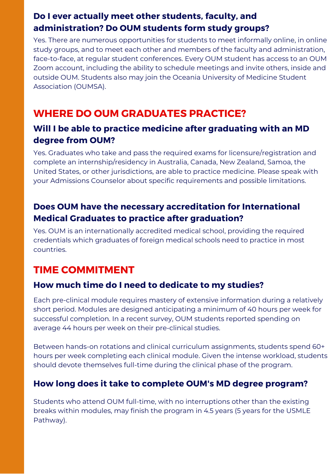## **Do I ever actually meet other students, faculty, and administration? Do OUM students form study groups?**

Yes. There are numerous opportunities for students to meet informally online, in online study groups, and to meet each other and members of the faculty and administration, face-to-face, at regular student conferences. Every OUM student has access to an OUM Zoom account, including the ability to schedule meetings and invite others, inside and outside OUM. Students also may join the Oceania University of Medicine Student Association (OUMSA).

## **WHERE DO OUM GRADUATES PRACTICE?**

#### **Will I be able to practice medicine after graduating with an MD degree from OUM?**

Yes. Graduates who take and pass the required exams for [licensure/registration](https://yourtime.oum.edu.ws/acton/ct/31526/%7b%7bEnv.MsgId%7d%7d/Bct/%7b%7bEnv.SrcId%7d%7d/%7b%7bEnv.RecId%7d%7d/ct5_0/1/lu?sid=%7b%7bEnv.Code%7d%7d) and complete an internship/residency in Australia, Canada, New Zealand, Samoa, the United States, or other jurisdictions, are able to practice medicine. Please speak with your Admissions Counselor about specific requirements and possible limitations.

#### **Does OUM have the necessary accreditation for International Medical Graduates to practice after graduation?**

Yes. OUM is an [internationally](https://yourtime.oum.edu.ws/acton/ct/31526/%7b%7bEnv.MsgId%7d%7d/Bct/%7b%7bEnv.SrcId%7d%7d/%7b%7bEnv.RecId%7d%7d/ct5_0/1/lu?sid=%7b%7bEnv.Code%7d%7d) accredited medical school, providing the required credentials which graduates of foreign medical schools need to practice in most countries.

## **TIME COMMITMENT**

#### **How much time do I need to dedicate to my studies?**

Each pre-clinical module requires mastery of extensive information during a relatively short period. Modules are designed [anticipating](https://yourtime.oum.edu.ws/acton/ct/31526/%7b%7bEnv.MsgId%7d%7d/Bct/%7b%7bEnv.SrcId%7d%7d/%7b%7bEnv.RecId%7d%7d/ct5_0/1/lu?sid=%7b%7bEnv.Code%7d%7d) a minimum of 40 hours per week for successful completion. In a recent survey, OUM students reported spending on average 44 hours per week on their pre-clinical studies.

Between hands-on rotations and clinical curriculum [assignments,](https://yourtime.oum.edu.ws/acton/ct/31526/%7b%7bEnv.MsgId%7d%7d/Bct/%7b%7bEnv.SrcId%7d%7d/%7b%7bEnv.RecId%7d%7d/ct5_0/1/lu?sid=%7b%7bEnv.Code%7d%7d) students spend 60+ hours per week completing [each clinical](https://yourtime.oum.edu.ws/acton/ct/31526/%7b%7bEnv.MsgId%7d%7d/Bct/%7b%7bEnv.SrcId%7d%7d/%7b%7bEnv.RecId%7d%7d/ct5_0/1/lu?sid=%7b%7bEnv.Code%7d%7d) module. Given the intense workload, students should devote themselves full-time during the clinical phase of the program.

#### **How long does it take to complete OUM's MD degree [program?](https://yourtime.oum.edu.ws/acton/ct/31526/%7b%7bEnv.MsgId%7d%7d/Bct/%7b%7bEnv.SrcId%7d%7d/%7b%7bEnv.RecId%7d%7d/ct5_0/1/lu?sid=%7b%7bEnv.Code%7d%7d)**

Students who attend OUM full-time, with no [interruptions](https://yourtime.oum.edu.ws/acton/ct/31526/%7b%7bEnv.MsgId%7d%7d/Bct/%7b%7bEnv.SrcId%7d%7d/%7b%7bEnv.RecId%7d%7d/ct5_0/1/lu?sid=%7b%7bEnv.Code%7d%7d) other than the existing breaks within modules, may finish the program in 4.5 years (5 years for the USMLE Pathway).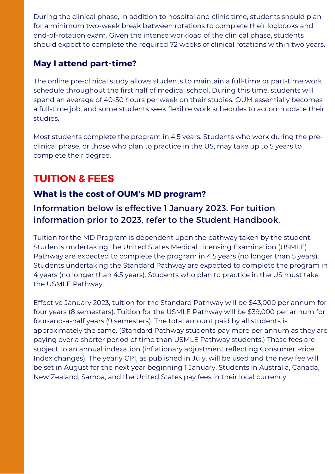During the clinical phase, in addition to hospital and clinic time, students should plan for a minimum two-week break between rotations to complete their logbooks and [end-of-rotation](https://yourtime.oum.edu.ws/acton/ct/31526/%7b%7bEnv.MsgId%7d%7d/Bct/%7b%7bEnv.SrcId%7d%7d/%7b%7bEnv.RecId%7d%7d/ct5_0/1/lu?sid=%7b%7bEnv.Code%7d%7d) exam. Given the intense workload of the clinical phase, students should expect to complete the required 72 weeks of clinical rotations within two years.

#### **May I attend part-time?**

The online pre-clinical study allows students to maintain a full-time or part-time work schedule throughout the first half of medical school. During this time, students will spend an average of 40-50 hours per week on their studies. OUM essentially becomes a full-time job, and some students seek flexible work schedules to accommodate their studies.

Most students complete the program in 4.5 years. Students who work during the preclinical phase, or those who plan to practice in the US, may take up to 5 years to complete their degree.

## **TUITION & FEES**

#### **What is the cost of OUM's MD program?**

#### Information below is effective 1 January 2023. For tuition information prior to 2023, refer to the Student Handbook.

Tuition for the MD Program is dependent upon the pathway taken by the student. Students undertaking the United States Medical Licensing [Examination](https://yourtime.oum.edu.ws/acton/ct/31526/%7b%7bEnv.MsgId%7d%7d/Bct/%7b%7bEnv.SrcId%7d%7d/%7b%7bEnv.RecId%7d%7d/ct5_0/1/lu?sid=%7b%7bEnv.Code%7d%7d) (USMLE) Pathway are expected to complete the program in 4.5 years (no longer than 5 years). Students undertaking the Standard Pathway are expected to complete the program in 4 years (no longer than 4.5 years). Students who plan to practice in the US must take the USMLE Pathway.

Effective January 2023, tuition for the Standard Pathway will be \$43,000 per annum for four years (8 semesters). Tuition for the USMLE Pathway will be \$39,000 per annum for [four-and-a-half](https://yourtime.oum.edu.ws/acton/ct/31526/%7b%7bEnv.MsgId%7d%7d/Bct/%7b%7bEnv.SrcId%7d%7d/%7b%7bEnv.RecId%7d%7d/ct5_0/1/lu?sid=%7b%7bEnv.Code%7d%7d) years (9 semesters). The total amount paid by all students is approximately the same. (Standard Pathway students pay more per annum as they are paying over a shorter period of time than USMLE Pathway students.) These fees are subject to an annual indexation (inflationary adjustment reflecting Consumer Price Index changes). The yearly CPI, as published in July, will be used and the new fee will be set in August for the next year beginning 1 January. Students in Australia, Canada, New Zealand, Samoa, and the United States pay fees in their local currency[.](https://yourtime.oum.edu.ws/acton/ct/31526/%7b%7bEnv.MsgId%7d%7d/Bct/%7b%7bEnv.SrcId%7d%7d/%7b%7bEnv.RecId%7d%7d/ct5_0/1/lu?sid=%7b%7bEnv.Code%7d%7d)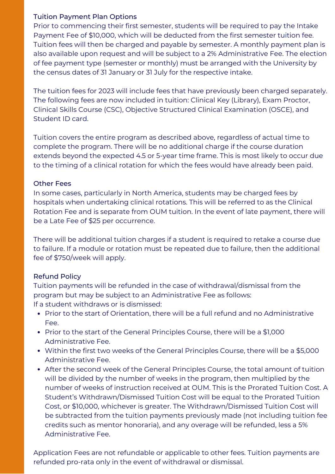#### Tuition Payment Plan Options

Prior to commencing their first semester, students will be required to pay the Intake Payment Fee of \$10,000, which will be deducted from the first semester tuition fee. Tuition fees will then be charged and payable by semester. A monthly payment plan is also available upon request and will be subject to a 2% Administrative Fee. The election of fee payment type (semester or monthly) must be arranged with the University by the census dates of 31 January or 31 July for the respective intake.

The tuition fees for 2023 will include fees that have previously been charged separately. The following fees are now included in tuition: Clinical Key (Library), Exam Proctor, Clinical Skills Course (CSC), Objective Structured Clinical Examination (OSCE), and Student ID card.

Tuition covers the entire program as described above, regardless of actual time to complete the program. There will be no additional charge if the course duration extends beyond the expected 4.5 or 5-year time frame. This is most likely to occur due to the timing of a clinical rotation for which the fees would have already been paid.

#### Other Fees

In some cases, particularly in North America, students may be charged fees by hospitals when undertaking clinical rotations. This will be referred to as the Clinical Rotation Fee and is separate from OUM tuition. In the event of late payment, there will be a Late Fee of \$25 per occurrence.

There will be additional tuition charges if a student is required to retake a course due to failure. If a module or rotation must be repeated due to failure, then the additional fee of \$750/week will apply.

#### Refund Policy

Tuition payments will be refunded in the case of withdrawal/dismissal from the program but may be subject to an Administrative Fee as follows: If a student withdraws or is dismissed:

- Prior to the start of Orientation, there will be a full refund and no Administrative Fee.
- Prior to the start of the General Principles Course, there will be a \$1,000 Administrative Fee.
- Within the first two weeks of the General Principles Course, there will be a \$5,000 Administrative Fee.
- After the second week of the General Principles Course, the total amount of tuition will be divided by the number of weeks in the program, then multiplied by the number of weeks of instruction received at OUM. This is the Prorated Tuition Cost. A Student's Withdrawn/Dismissed Tuition Cost will be equal to the Prorated Tuition Cost, or \$10,000, whichever is greater. The Withdrawn/Dismissed Tuition Cost will be subtracted from the tuition payments previously made (not including tuition fee credits such as mentor honoraria), and any overage will be refunded, less a 5% Administrative Fee.

Application Fees are not refundable or applicable to other fees. Tuition payments are refunded pro-rata only in the event of withdrawal or dismissal.